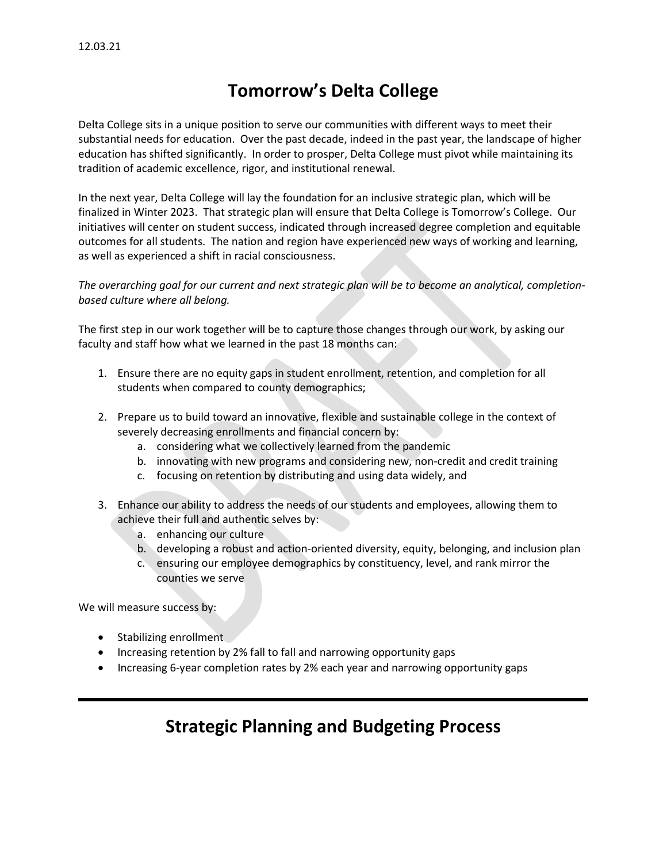## **Tomorrow's Delta College**

Delta College sits in a unique position to serve our communities with different ways to meet their substantial needs for education. Over the past decade, indeed in the past year, the landscape of higher education has shifted significantly. In order to prosper, Delta College must pivot while maintaining its tradition of academic excellence, rigor, and institutional renewal.

In the next year, Delta College will lay the foundation for an inclusive strategic plan, which will be finalized in Winter 2023. That strategic plan will ensure that Delta College is Tomorrow's College. Our initiatives will center on student success, indicated through increased degree completion and equitable outcomes for all students. The nation and region have experienced new ways of working and learning, as well as experienced a shift in racial consciousness.

### *The overarching goal for our current and next strategic plan will be to become an analytical, completionbased culture where all belong.*

The first step in our work together will be to capture those changes through our work, by asking our faculty and staff how what we learned in the past 18 months can:

- 1. Ensure there are no equity gaps in student enrollment, retention, and completion for all students when compared to county demographics;
- 2. Prepare us to build toward an innovative, flexible and sustainable college in the context of severely decreasing enrollments and financial concern by:
	- a. considering what we collectively learned from the pandemic
	- b. innovating with new programs and considering new, non-credit and credit training
	- c. focusing on retention by distributing and using data widely, and
- 3. Enhance our ability to address the needs of our students and employees, allowing them to achieve their full and authentic selves by:
	- a. enhancing our culture
	- b. developing a robust and action-oriented diversity, equity, belonging, and inclusion plan
	- c. ensuring our employee demographics by constituency, level, and rank mirror the counties we serve

We will measure success by:

- Stabilizing enrollment
- Increasing retention by 2% fall to fall and narrowing opportunity gaps
- Increasing 6-year completion rates by 2% each year and narrowing opportunity gaps

## **Strategic Planning and Budgeting Process**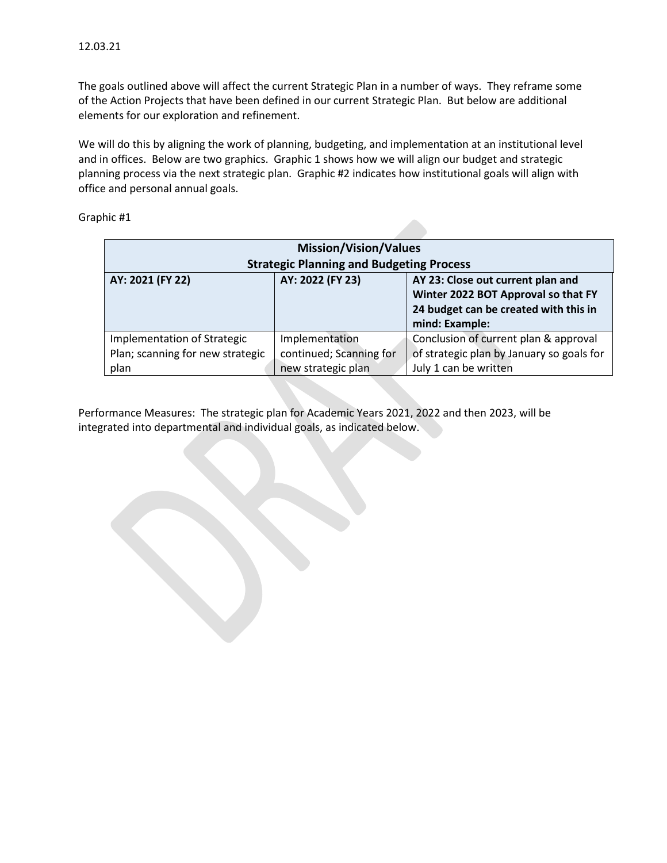The goals outlined above will affect the current Strategic Plan in a number of ways. They reframe some of the Action Projects that have been defined in our current Strategic Plan. But below are additional elements for our exploration and refinement.

We will do this by aligning the work of planning, budgeting, and implementation at an institutional level and in offices. Below are two graphics. Graphic 1 shows how we will align our budget and strategic planning process via the next strategic plan. Graphic #2 indicates how institutional goals will align with office and personal annual goals.

| Graphic #1 |  |  |
|------------|--|--|
|------------|--|--|

| <b>Mission/Vision/Values</b><br><b>Strategic Planning and Budgeting Process</b> |                                                                 |                                                                                                                                     |  |
|---------------------------------------------------------------------------------|-----------------------------------------------------------------|-------------------------------------------------------------------------------------------------------------------------------------|--|
| AY: 2021 (FY 22)                                                                | AY: 2022 (FY 23)                                                | AY 23: Close out current plan and<br>Winter 2022 BOT Approval so that FY<br>24 budget can be created with this in<br>mind: Example: |  |
| Implementation of Strategic<br>Plan; scanning for new strategic<br>plan         | Implementation<br>continued; Scanning for<br>new strategic plan | Conclusion of current plan & approval<br>of strategic plan by January so goals for<br>July 1 can be written                         |  |

Performance Measures: The strategic plan for Academic Years 2021, 2022 and then 2023, will be integrated into departmental and individual goals, as indicated below.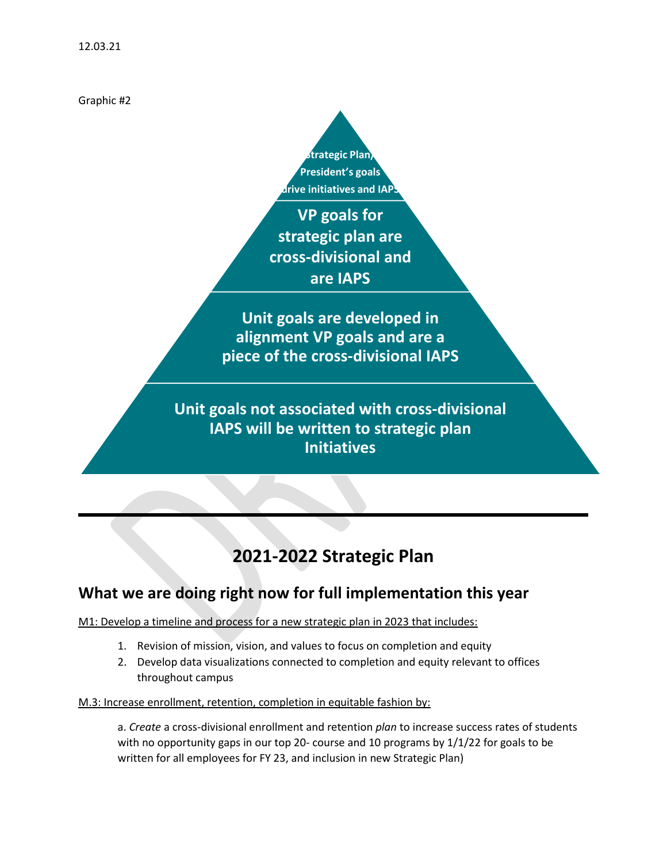Graphic #2

**Strategic Plan/ President's goals drive initiatives and IAP** 

**VP goals for strategic plan are cross-divisional and are IAPS** 

**Unit goals are developed in alignment VP goals and are a piece of the cross-divisional IAPS**

**Unit goals not associated with cross-divisional IAPS will be written to strategic plan Initiatives**

# **2021-2022 Strategic Plan**

## **What we are doing right now for full implementation this year**

M1: Develop a timeline and process for a new strategic plan in 2023 that includes:

- 1. Revision of mission, vision, and values to focus on completion and equity
- 2. Develop data visualizations connected to completion and equity relevant to offices throughout campus

M.3: Increase enrollment, retention, completion in equitable fashion by:

a. *Create* a cross-divisional enrollment and retention *plan* to increase success rates of students with no opportunity gaps in our top 20- course and 10 programs by  $1/1/22$  for goals to be written for all employees for FY 23, and inclusion in new Strategic Plan)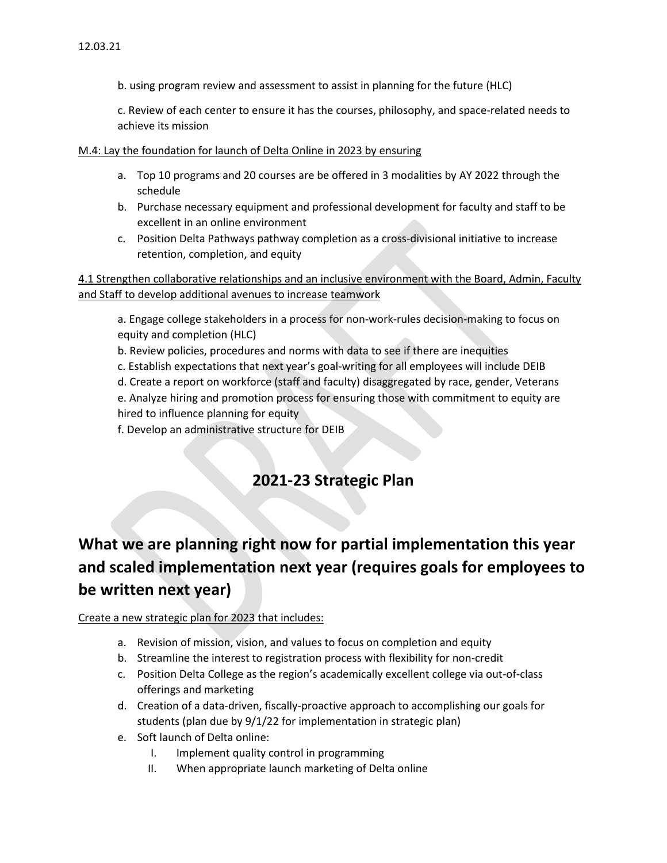b. using program review and assessment to assist in planning for the future (HLC)

c. Review of each center to ensure it has the courses, philosophy, and space-related needs to achieve its mission

#### M.4: Lay the foundation for launch of Delta Online in 2023 by ensuring

- a. Top 10 programs and 20 courses are be offered in 3 modalities by AY 2022 through the schedule
- b. Purchase necessary equipment and professional development for faculty and staff to be excellent in an online environment
- c. Position Delta Pathways pathway completion as a cross-divisional initiative to increase retention, completion, and equity

4.1 Strengthen collaborative relationships and an inclusive environment with the Board, Admin, Faculty and Staff to develop additional avenues to increase teamwork

a. Engage college stakeholders in a process for non-work-rules decision-making to focus on equity and completion (HLC)

b. Review policies, procedures and norms with data to see if there are inequities

c. Establish expectations that next year's goal-writing for all employees will include DEIB

d. Create a report on workforce (staff and faculty) disaggregated by race, gender, Veterans

e. Analyze hiring and promotion process for ensuring those with commitment to equity are hired to influence planning for equity

f. Develop an administrative structure for DEIB

### **2021-23 Strategic Plan**

## **What we are planning right now for partial implementation this year and scaled implementation next year (requires goals for employees to be written next year)**

### Create a new strategic plan for 2023 that includes:

- a. Revision of mission, vision, and values to focus on completion and equity
- b. Streamline the interest to registration process with flexibility for non-credit
- c. Position Delta College as the region's academically excellent college via out-of-class offerings and marketing
- d. Creation of a data-driven, fiscally-proactive approach to accomplishing our goals for students (plan due by 9/1/22 for implementation in strategic plan)
- e. Soft launch of Delta online:
	- I. Implement quality control in programming
	- II. When appropriate launch marketing of Delta online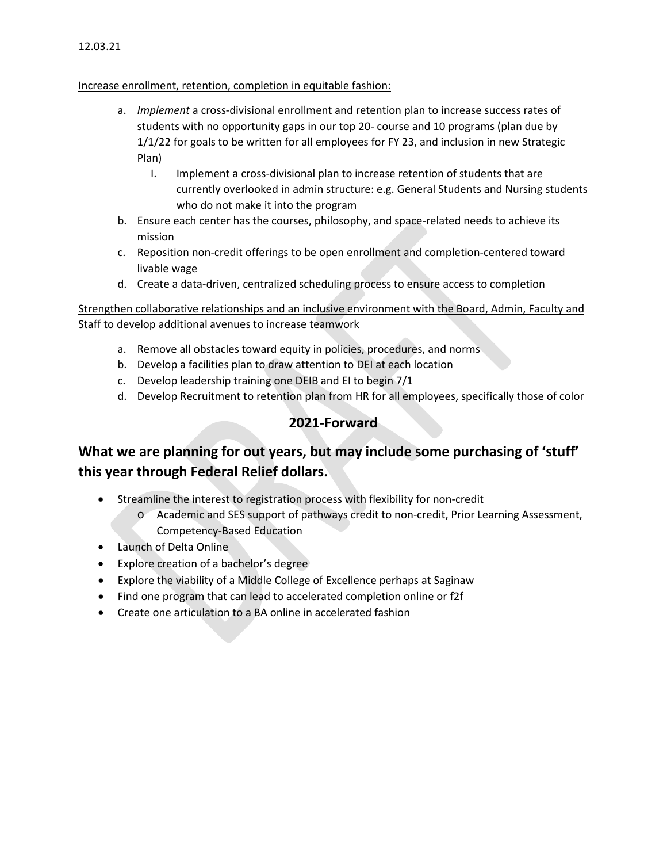#### 12.03.21

#### Increase enrollment, retention, completion in equitable fashion:

- a. *Implement* a cross-divisional enrollment and retention plan to increase success rates of students with no opportunity gaps in our top 20- course and 10 programs (plan due by 1/1/22 for goals to be written for all employees for FY 23, and inclusion in new Strategic Plan)
	- I. Implement a cross-divisional plan to increase retention of students that are currently overlooked in admin structure: e.g. General Students and Nursing students who do not make it into the program
- b. Ensure each center has the courses, philosophy, and space-related needs to achieve its mission
- c. Reposition non-credit offerings to be open enrollment and completion-centered toward livable wage
- d. Create a data-driven, centralized scheduling process to ensure access to completion

Strengthen collaborative relationships and an inclusive environment with the Board, Admin, Faculty and Staff to develop additional avenues to increase teamwork

- a. Remove all obstacles toward equity in policies, procedures, and norms
- b. Develop a facilities plan to draw attention to DEI at each location
- c. Develop leadership training one DEIB and EI to begin 7/1
- d. Develop Recruitment to retention plan from HR for all employees, specifically those of color

### **2021-Forward**

### **What we are planning for out years, but may include some purchasing of 'stuff' this year through Federal Relief dollars.**

- Streamline the interest to registration process with flexibility for non-credit
	- o Academic and SES support of pathways credit to non-credit, Prior Learning Assessment, Competency-Based Education
- Launch of Delta Online
- Explore creation of a bachelor's degree
- Explore the viability of a Middle College of Excellence perhaps at Saginaw
- Find one program that can lead to accelerated completion online or f2f
- Create one articulation to a BA online in accelerated fashion